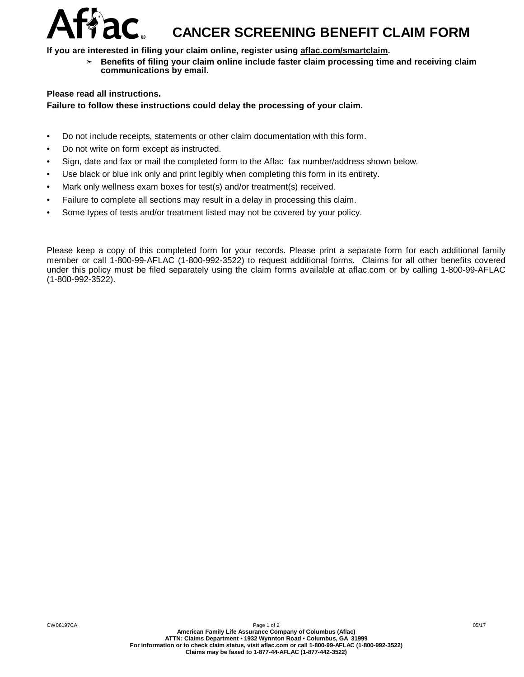## $Affac$ , cancer screening benefit claim form

**If you are interested in filing your claim online, register using aflac.com/smartclaim.**

➣ **Benefits of filing your claim online include faster claim processing time and receiving claim communications by email.**

## **Please read all instructions.**

## **Failure to follow these instructions could delay the processing of your claim.**

- Do not include receipts, statements or other claim documentation with this form.
- Do not write on form except as instructed.
- Sign, date and fax or mail the completed form to the Aflac fax number/address shown below.
- Use black or blue ink only and print legibly when completing this form in its entirety.
- Mark only wellness exam boxes for test(s) and/or treatment(s) received.
- Failure to complete all sections may result in a delay in processing this claim.
- Some types of tests and/or treatment listed may not be covered by your policy.

Please keep a copy of this completed form for your records. Please print a separate form for each additional family member or call 1-800-99-AFLAC (1-800-992-3522) to request additional forms. Claims for all other benefits covered under this policy must be filed separately using the claim forms available at aflac.com or by calling 1-800-99-AFLAC (1-800-992-3522).